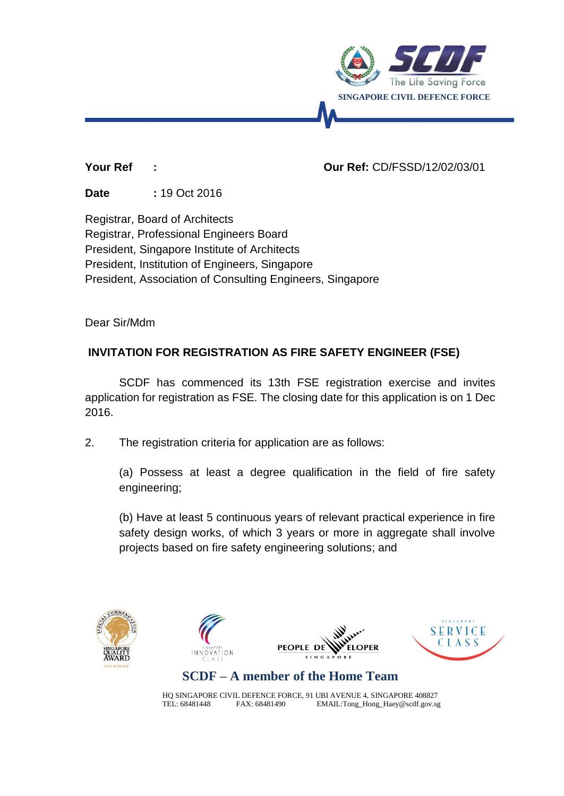

#### **Your Ref : Our Ref:** CD/FSSD/12/02/03/01

**Date :** 19 Oct 2016

Registrar, Board of Architects Registrar, Professional Engineers Board President, Singapore Institute of Architects President, Institution of Engineers, Singapore President, Association of Consulting Engineers, Singapore

Dear Sir/Mdm

## **INVITATION FOR REGISTRATION AS FIRE SAFETY ENGINEER (FSE)**

SCDF has commenced its 13th FSE registration exercise and invites application for registration as FSE. The closing date for this application is on 1 Dec 2016.

2. The registration criteria for application are as follows:

(a) Possess at least a degree qualification in the field of fire safety engineering;

(b) Have at least 5 continuous years of relevant practical experience in fire safety design works, of which 3 years or more in aggregate shall involve projects based on fire safety engineering solutions; and





# **SCDF – A member of the Home Team**

HQ SINGAPORE CIVIL DEFENCE FORCE, 91 UBI AVENUE 4, SINGAPORE 408827 TEL: 68481448 FAX: 68481490 EMAIL:Tong\_Hong\_Haey@scdf.gov.sg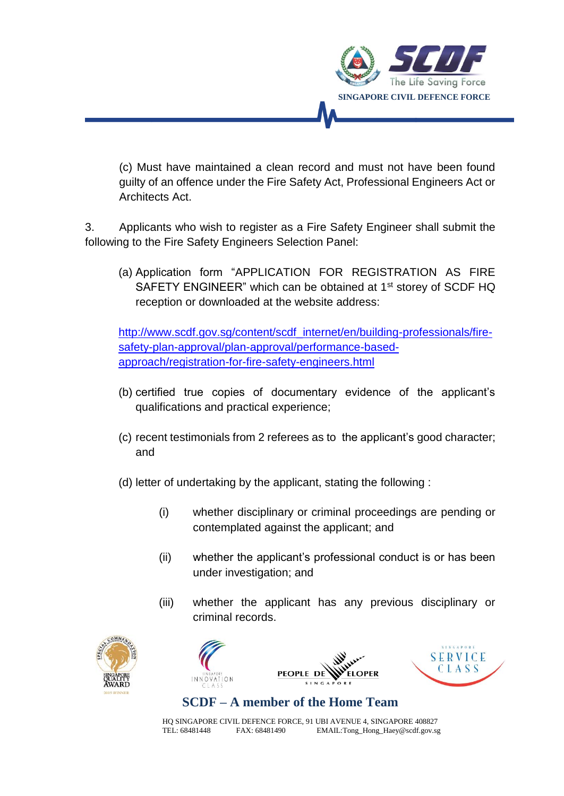

(c) Must have maintained a clean record and must not have been found guilty of an offence under the Fire Safety Act, Professional Engineers Act or Architects Act.

3. Applicants who wish to register as a Fire Safety Engineer shall submit the following to the Fire Safety Engineers Selection Panel:

(a) Application form "APPLICATION FOR REGISTRATION AS FIRE SAFETY ENGINEER" which can be obtained at 1<sup>st</sup> storey of SCDF HQ reception or downloaded at the website address:

[http://www.scdf.gov.sg/content/scdf\\_internet/en/building-professionals/fire](http://www.scdf.gov.sg/content/scdf_internet/en/building-professionals/fire-safety-plan-approval/plan-approval/performance-based-approach/registration-for-fire-safety-engineers.html)[safety-plan-approval/plan-approval/performance-based](http://www.scdf.gov.sg/content/scdf_internet/en/building-professionals/fire-safety-plan-approval/plan-approval/performance-based-approach/registration-for-fire-safety-engineers.html)[approach/registration-for-fire-safety-engineers.html](http://www.scdf.gov.sg/content/scdf_internet/en/building-professionals/fire-safety-plan-approval/plan-approval/performance-based-approach/registration-for-fire-safety-engineers.html)

- (b) certified true copies of documentary evidence of the applicant's qualifications and practical experience;
- (c) recent testimonials from 2 referees as to the applicant's good character; and
- (d) letter of undertaking by the applicant, stating the following :
	- (i) whether disciplinary or criminal proceedings are pending or contemplated against the applicant; and
	- (ii) whether the applicant's professional conduct is or has been under investigation; and
	- (iii) whether the applicant has any previous disciplinary or criminal records.





**PEOPLE DI** LOPER



## **SCDF – A member of the Home Team**

HQ SINGAPORE CIVIL DEFENCE FORCE, 91 UBI AVENUE 4, SINGAPORE 408827<br>TEL: 68481448 FAX: 68481490 EMAIL:Tong\_Hong\_Haey@scdf.gov.sq EMAIL: Tong\_Hong\_Haey@scdf.gov.sg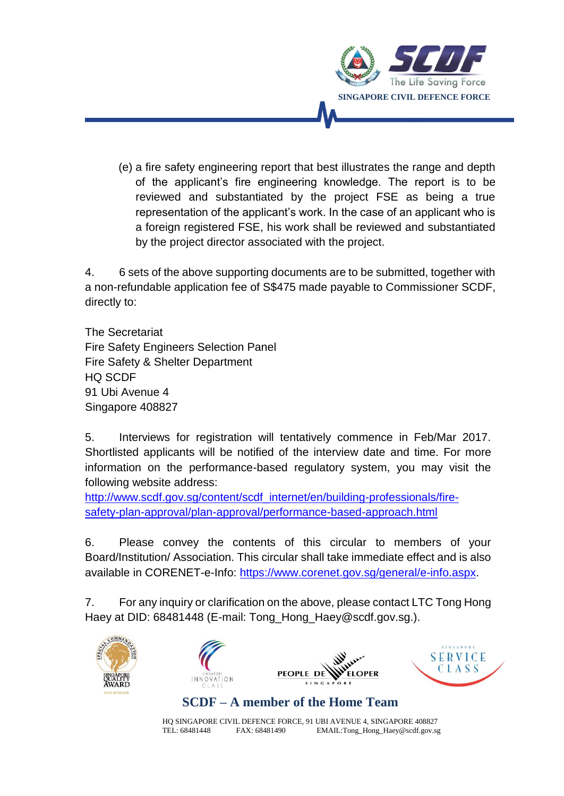

(e) a fire safety engineering report that best illustrates the range and depth of the applicant's fire engineering knowledge. The report is to be reviewed and substantiated by the project FSE as being a true representation of the applicant's work. In the case of an applicant who is a foreign registered FSE, his work shall be reviewed and substantiated by the project director associated with the project.

4. 6 sets of the above supporting documents are to be submitted, together with a non-refundable application fee of S\$475 made payable to Commissioner SCDF, directly to:

The Secretariat Fire Safety Engineers Selection Panel Fire Safety & Shelter Department HQ SCDF 91 Ubi Avenue 4 Singapore 408827

5. Interviews for registration will tentatively commence in Feb/Mar 2017. Shortlisted applicants will be notified of the interview date and time. For more information on the performance-based regulatory system, you may visit the following website address:

[http://www.scdf.gov.sg/content/scdf\\_internet/en/building-professionals/fire](http://www.scdf.gov.sg/content/scdf_internet/en/building-professionals/fire-safety-plan-approval/plan-approval/performance-based-approach.html)[safety-plan-approval/plan-approval/performance-based-approach.html](http://www.scdf.gov.sg/content/scdf_internet/en/building-professionals/fire-safety-plan-approval/plan-approval/performance-based-approach.html)

6. Please convey the contents of this circular to members of your Board/Institution/ Association. This circular shall take immediate effect and is also available in CORENET-e-Info: [https://www.corenet.gov.sg/general/e-info.aspx.](https://www.corenet.gov.sg/general/e-info.aspx)

7. For any inquiry or clarification on the above, please contact LTC Tong Hong Haey at DID: 68481448 (E-mail: Tong\_Hong\_Haey@scdf.gov.sg.).









**SCDF – A member of the Home Team**

HQ SINGAPORE CIVIL DEFENCE FORCE, 91 UBI AVENUE 4, SINGAPORE 408827<br>TEL: 68481448 FAX: 68481490 EMAIL:Tong\_Hong\_Haey@scdf.gov.sq TEL: 68481448 FAX: 68481490 EMAIL:Tong\_Hong\_Haey@scdf.gov.sg